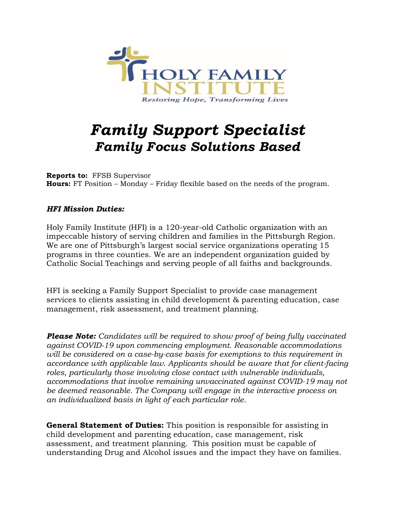

# *Family Support Specialist Family Focus Solutions Based*

**Reports to:** FFSB Supervisor **Hours:** FT Position – Monday – Friday flexible based on the needs of the program.

### *HFI Mission Duties:*

Holy Family Institute (HFI) is a 120-year-old Catholic organization with an impeccable history of serving children and families in the Pittsburgh Region. We are one of Pittsburgh's largest social service organizations operating 15 programs in three counties. We are an independent organization guided by Catholic Social Teachings and serving people of all faiths and backgrounds.

HFI is seeking a Family Support Specialist to provide case management services to clients assisting in child development & parenting education, case management, risk assessment, and treatment planning.

*Please Note: Candidates will be required to show proof of being fully vaccinated against COVID-19 upon commencing employment. Reasonable accommodations will be considered on a case-by-case basis for exemptions to this requirement in accordance with applicable law. Applicants should be aware that for client-facing roles, particularly those involving close contact with vulnerable individuals, accommodations that involve remaining unvaccinated against COVID-19 may not be deemed reasonable. The Company will engage in the interactive process on an individualized basis in light of each particular role.*

**General Statement of Duties:** This position is responsible for assisting in child development and parenting education, case management, risk assessment, and treatment planning. This position must be capable of understanding Drug and Alcohol issues and the impact they have on families.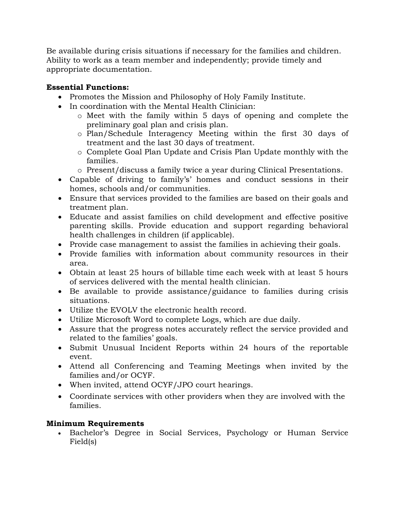Be available during crisis situations if necessary for the families and children. Ability to work as a team member and independently; provide timely and appropriate documentation.

## **Essential Functions:**

- Promotes the Mission and Philosophy of Holy Family Institute.
- In coordination with the Mental Health Clinician:
	- o Meet with the family within 5 days of opening and complete the preliminary goal plan and crisis plan.
	- o Plan/Schedule Interagency Meeting within the first 30 days of treatment and the last 30 days of treatment.
	- o Complete Goal Plan Update and Crisis Plan Update monthly with the families.
	- o Present/discuss a family twice a year during Clinical Presentations.
- Capable of driving to family's' homes and conduct sessions in their homes, schools and/or communities.
- Ensure that services provided to the families are based on their goals and treatment plan.
- Educate and assist families on child development and effective positive parenting skills. Provide education and support regarding behavioral health challenges in children (if applicable).
- Provide case management to assist the families in achieving their goals.
- Provide families with information about community resources in their area.
- Obtain at least 25 hours of billable time each week with at least 5 hours of services delivered with the mental health clinician.
- Be available to provide assistance/guidance to families during crisis situations.
- Utilize the EVOLV the electronic health record.
- Utilize Microsoft Word to complete Logs, which are due daily.
- Assure that the progress notes accurately reflect the service provided and related to the families' goals.
- Submit Unusual Incident Reports within 24 hours of the reportable event.
- Attend all Conferencing and Teaming Meetings when invited by the families and/or OCYF.
- When invited, attend OCYF/JPO court hearings.
- Coordinate services with other providers when they are involved with the families.

# **Minimum Requirements**

• Bachelor's Degree in Social Services, Psychology or Human Service Field(s)